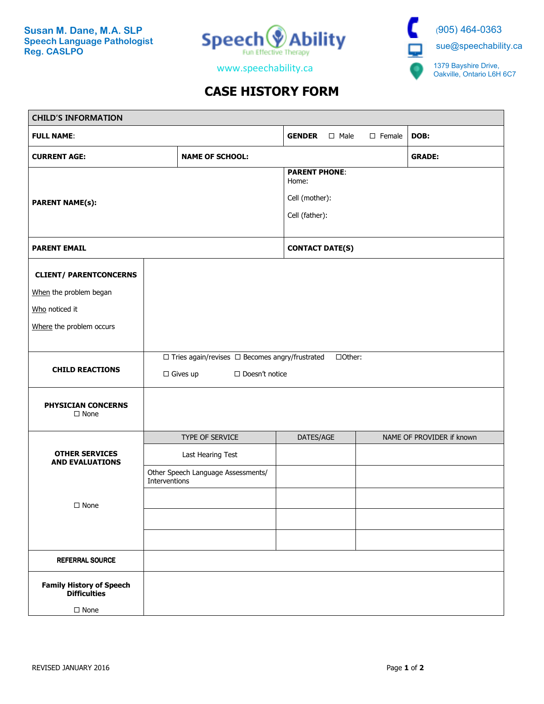

(905) 464-0363 sue@speechability.ca 1379 Bayshire Drive, Oakville, Ontario L6H 6C7

www.speechability.ca

## **CASE HISTORY FORM**

| <b>CHILD'S INFORMATION</b>                                            |                                                                                                              |                                    |                  |      |  |                           |  |  |
|-----------------------------------------------------------------------|--------------------------------------------------------------------------------------------------------------|------------------------------------|------------------|------|--|---------------------------|--|--|
| <b>FULL NAME:</b>                                                     | <b>GENDER</b>                                                                                                | □ Male                             | $\square$ Female | DOB: |  |                           |  |  |
| <b>CURRENT AGE:</b>                                                   |                                                                                                              | <b>NAME OF SCHOOL:</b>             |                  |      |  | <b>GRADE:</b>             |  |  |
| <b>PARENT NAME(s):</b>                                                | <b>PARENT PHONE:</b><br>Home:<br>Cell (mother):<br>Cell (father):                                            |                                    |                  |      |  |                           |  |  |
| <b>PARENT EMAIL</b>                                                   | <b>CONTACT DATE(S)</b>                                                                                       |                                    |                  |      |  |                           |  |  |
| <b>CLIENT/ PARENTCONCERNS</b><br>When the problem began               |                                                                                                              |                                    |                  |      |  |                           |  |  |
| Who noticed it<br>Where the problem occurs                            |                                                                                                              |                                    |                  |      |  |                           |  |  |
| <b>CHILD REACTIONS</b>                                                | $\Box$ Tries again/revises $\Box$ Becomes angry/frustrated<br>□Other:<br>$\Box$ Gives up<br>□ Doesn't notice |                                    |                  |      |  |                           |  |  |
| PHYSICIAN CONCERNS<br>$\Box$ None                                     |                                                                                                              |                                    |                  |      |  |                           |  |  |
|                                                                       | TYPE OF SERVICE                                                                                              |                                    | DATES/AGE        |      |  | NAME OF PROVIDER if known |  |  |
| <b>OTHER SERVICES</b><br><b>AND EVALUATIONS</b>                       | Last Hearing Test                                                                                            |                                    |                  |      |  |                           |  |  |
|                                                                       | Interventions                                                                                                | Other Speech Language Assessments/ |                  |      |  |                           |  |  |
| $\square$ None                                                        |                                                                                                              |                                    |                  |      |  |                           |  |  |
|                                                                       |                                                                                                              |                                    |                  |      |  |                           |  |  |
| <b>REFERRAL SOURCE</b>                                                |                                                                                                              |                                    |                  |      |  |                           |  |  |
| <b>Family History of Speech</b><br><b>Difficulties</b><br>$\Box$ None |                                                                                                              |                                    |                  |      |  |                           |  |  |